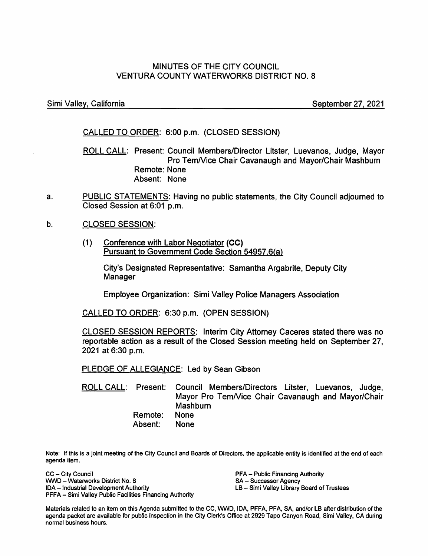# MINUTES OF THE CITY COUNCIL VENTURA COUNTY WATERWORKS DISTRICT NO. 8

Simi Valley, California September 27, 2021

# CALLED TO ORDER: 6:00 p.m. (CLOSED SESSION)

ROLL CALL: Present: Council Members/Director Litster, Luevanos, Judge, Mayor Pro TemNice Chair Cavanaugh and Mayor/Chair Mashburn Remote: None Absent: None

a. PUBLIC STATEMENTS: Having no public statements, the City Council adjourned to Closed Session at 6:01 p.m.

b. CLOSED SESSION:

> (1) Conference with Labor Negotiator **(CC)**  Pursuant to Government Code Section 54957.6(a}

> > City's Designated Representative: Samantha Argabrite, Deputy City Manager

Employee Organization: Simi Valley Police Managers Association

CALLED TO ORDER: 6:30 p.m. (OPEN SESSION)

CLOSED SESSION REPORTS: Interim City Attorney Caceres stated there was no reportable action as a result of the Closed Session meeting held on September 27, 2021 at 6:30 p.m.

PLEDGE OF ALLEGIANCE: Led by Sean Gibson

ROLL CALL: Present: Remote: Absent: Council Members/Directors Litster, Luevanos, Judge, Mayor Pro TemNice Chair Cavanaugh and Mayor/Chair **Mashburn** None None

Note: If this is a joint meeting of the City Council and Boards of Directors, the applicable entity is identified at the end of each agenda item.

CC - City Council WNO - Waterworks District No. 8 !DA- Industrial Development Authority PFFA - Simi Valley Public Facilities Financing Authority

PFA - Public Financing Authority SA - Successor Agency LB - Simi Valley Library Board of Trustees

Materials related to an item on this Agenda submitted to the CC, WNO, IDA, PFFA, PFA, SA, and/or LB after distribution of the agenda packet are available for public inspection in the City Clerk's Office at 2929 Tapo Canyon Road, Simi Valley, CA during normal business hours.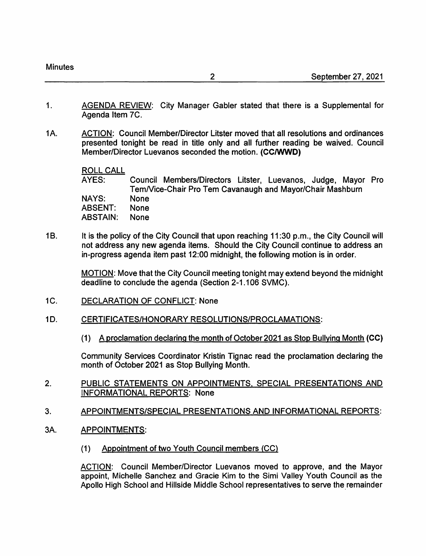- 1. AGENDA REVIEW: City Manager Gabler stated that there is a Supplemental for Agenda Item 7C.
- 1A. ACTION: Council Member/Director Litster moved that all resolutions and ordinances presented tonight be read in title only and all further reading be waived. Council Member/Director Luevanos seconded the motion. **(CC/WWD)**

ROLL CALL

AYES: NAYS: ABSENT: ABSTAIN: Council Members/Directors Litster, Luevanos, Judge, Mayor Pro TemNice-Chair Pro Tern Cavanaugh and Mayor/Chair Mashburn None None None

1B. It is the policy of the City Council that upon reaching 11:30 p.m., the City Council will not address any new agenda items. Should the City Council continue to address an in-progress agenda item past 12:00 midnight, the following motion is in order.

> MOTION: Move that the City Council meeting tonight may extend beyond the midnight deadline to conclude the agenda (Section 2-1.106 SVMC).

- 1C. DECLARATION OF CONFLICT: None
- 1D. CERTIFICATES/HONORARY RESOLUTIONS/PROCLAMATIONS:
	- (1) A proclamation declaring the month of October2021 as Stop Bullying Month **(CC)**

Community Services Coordinator Kristin Tignac read the proclamation declaring the month of October 2021 as Stop Bullying Month.

- 2. PUBLIC STATEMENTS ON APPOINTMENTS, SPECIAL PRESENTATIONS AND INFORMATIONAL REPORTS: None
- 3. APPOINTMENTS/SPECIAL PRESENTATIONS AND INFORMATIONAL REPORTS:
- 3A. APPOINTMENTS:
	- (1) Appointment of two Youth Council members {CC)

ACTION: Council Member/Director Luevanos moved to approve, and the Mayor appoint, Michelle Sanchez and Gracie Kim to the Simi Valley Youth Council as the Apollo High School and Hillside Middle School representatives to serve the remainder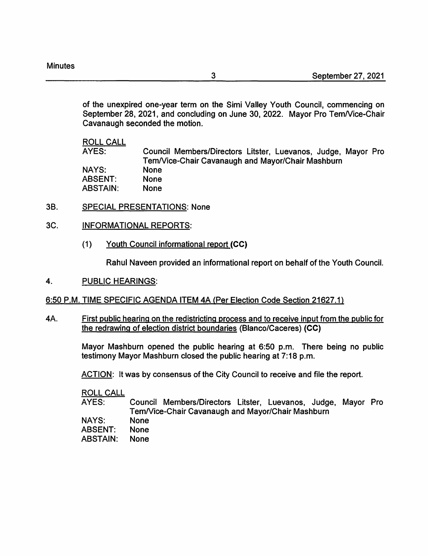of the unexpired one-year term on the Simi Valley Youth Council, commencing on September 28, 2021, and concluding on June 30, 2022. Mayor Pro Tem/Vice-Chair Cavanaugh seconded the motion.

#### ROLL CALL

AYES: NAYS: ABSENT: ABSTAIN: Council Members/Directors Litster, Luevanos, Judge, Mayor Pro TemNice-Chair Cavanaugh and Mayor/Chair Mashburn None None None

- 38. SPECIAL PRESENTATIONS: None
- 3C. INFORMATIONAL REPORTS:
	- (1) Youth Council informational report **(CC)**

Rahul Naveen provided an informational report on behalf of the Youth Council.

4. PUBLIC HEARINGS:

# 6:50 P.M. TIME SPECIFIC AGENDA ITEM 4A (Per Election Code Section 21627.1)

4A. First public hearing on the redistricting process and to receive input from the public for the redrawing of election district boundaries {Blanco/Caceres) **(CC)** 

> Mayor Mashburn opened the public hearing at 6:50 p.m. There being no public testimony Mayor Mashburn closed the public hearing at 7:18 p.m.

ACTION: It was by consensus of the City Council to receive and file the report.

ROLL CALL

AYES: Council Members/Directors Litster, Luevanos, Judge, Mayor Pro TemNice-Chair Cavanaugh and Mayor/Chair Mashburn

NAYS: None

ABSENT: None

ABSTAIN: None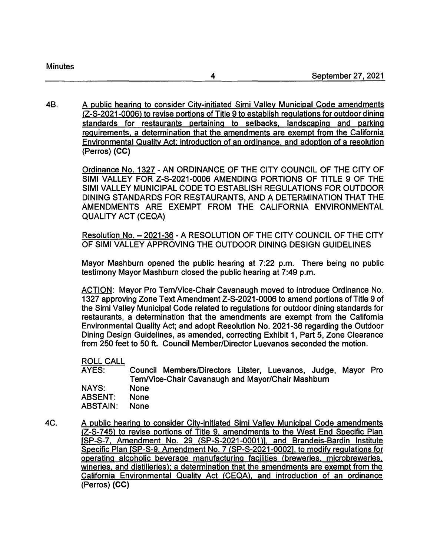48. A public hearing to consider City-initiated Simi Valley Municipal Code amendments (Z-S-2021-0006) to revise portions of Title 9 to establish regulations for outdoor dining standards for restaurants pertaining to setbacks, landscaping and parking requirements, a determination that the amendments are exempt from the California Environmental Quality Act; introduction of an ordinance, and adoption of a resolution (Perros) **(CC)** 

> Ordinance No. 1327 -AN ORDINANCE OF THE CITY COUNCIL OF THE CITY OF SIMI VALLEY FOR Z-S-2021-0006 AMENDING PORTIONS OF TITLE 9 OF THE SIMI VALLEY MUNICIPAL CODE TO ESTABLISH REGULATIONS FOR OUTDOOR DINING STANDARDS FOR RESTAURANTS, AND A DETERMINATION THAT THE AMENDMENTS ARE EXEMPT FROM THE CALIFORNIA ENVIRONMENTAL QUALITY ACT (CEQA)

> Resolution No. - 2021-36 - A RESOLUTION OF THE CITY COUNCIL OF THE CITY OF SIMI VALLEY APPROVING THE OUTDOOR DINING DESIGN GUIDELINES

> Mayor Mashburn opened the public hearing at 7:22 p.m. There being no public testimony Mayor Mashburn closed the public hearing at 7:49 p.m.

> ACTION: Mayor Pro Tem/Vice-Chair Cavanaugh moved to introduce Ordinance No. 1327 approving Zone Text Amendment Z-S-2021-0006 to amend portions of Title 9 of the Simi Valley Municipal Code related to regulations for outdoor dining standards for restaurants, a determination that the amendments are exempt from the California Environmental Quality Act; and adopt Resolution No. 2021-36 regarding the Outdoor Dining Design Guidelines, as amended, correcting Exhibit 1, Part 5, Zone Clearance from 250 feet to 50 ft. Council Member/Director Luevanos seconded the motion.

# ROLL CALL

AYES: NAYS: ABSENT: ABSTAIN: Council Members/Directors Litster, Luevanos, Judge, Mayor Pro TemNice-Chair Cavanaugh and Mayor/Chair Mashburn None None None

4C. A public hearing to consider City-initiated Simi Valley Municipal Code amendments (Z-S-745) to revise portions of Title 9, amendments to the West End Specific Plan [SP-S-7. Amendment No. 29 (SP-S-2021-0001)], and Brandeis-Bardin Institute Specific Plan [SP-S-9, Amendment No. 7 (SP-S-2021-00021. to modify regulations for operating alcoholic beverage manufacturing facilities (breweries. microbreweries. wineries, and distilleries): a determination that the amendments are exempt from the California Environmental Quality Act (CEQA), and introduction of an ordinance (Perros) **(CC)**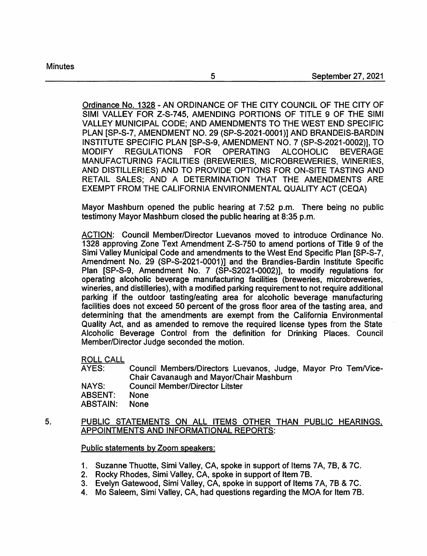Ordinance No. 1328 -AN ORDINANCE OF THE CITY COUNCIL OF THE CITY OF SIMI VALLEY FOR Z-S-745, AMENDING PORTIONS OF TITLE 9 OF THE SIMI VALLEY MUNICIPAL CODE; AND AMENDMENTS TO THE WEST END SPECIFIC PLAN [SP-S-7, AMENDMENT NO. 29 (SP-S-2021-0001)] AND BRANDEIS-BARDIN INSTITUTE SPECIFIC PLAN [SP-S-9, AMENDMENT NO. 7 (SP-S-2021-0002)], TO MODIFY REGULATIONS FOR OPERATING ALCOHOLIC BEVERAGE MANUFACTURING FACILITIES (BREWERIES, MICROBREWERIES, WINERIES, AND DISTILLERIES) AND TO PROVIDE OPTIONS FOR ON-SITE TASTING AND RETAIL SALES; AND A DETERMINATION THAT THE AMENDMENTS ARE EXEMPT FROM THE CALIFORNIA ENVIRONMENTAL QUALITY ACT (CEQA)

Mayor Mashburn opened the public hearing at 7:52 p.m. There being no public testimony Mayor Mashburn closed the public hearing at 8:35 p.m.

ACTION: Council Member/Director Luevanos moved to introduce Ordinance No. 1328 approving Zone Text Amendment Z-S-750 to amend portions of Title 9 of the Simi Valley Municipal Code and amendments to the West End Specific Plan [SP-S-7, Amendment No. 29 (SP-S-2021-0001)] and the Brandies-Bardin Institute Specific Plan [SP-S-9, Amendment No. 7 (SP-S2021-0002)], to modify regulations for operating alcoholic beverage manufacturing facilities (breweries, microbreweries, wineries, and distilleries), with a modified parking requirement to not require additional parking if the outdoor tasting/eating area for alcoholic beverage manufacturing facilities does not exceed 50 percent of the gross floor area of the tasting area, and determining that the amendments are exempt from the California Environmental Quality Act, and as amended to remove the required license types from the State Alcoholic Beverage Control from the definition for Drinking Places. Council Member/Director Judge seconded the motion.

ROLL CALL

AYES: Council Members/Directors Luevanos, Judge, Mayor Pro TemNice-Chair Cavanaugh and Mayor/Chair Mashburn NAYS: Council Member/Director Litster ABSENT: None

ABSTAIN: None

#### 5. PUBLIC STATEMENTS ON ALL ITEMS OTHER THAN PUBLIC HEARINGS, APPOINTMENTS AND INFORMATIONAL REPORTS:

# Public statements by Zoom speakers:

- 1. Suzanne Thuotte, Simi Valley, CA, spoke in support of Items 7 A, 78, & 7C.
- 2. Rocky Rhodes, Simi Valley, CA, spoke in support of Item 78.
- 3. Evelyn Gatewood, Simi Valley, CA, spoke in support of Items 7A, 7B & 7C.
- 4. Mo Saleem, Simi Valley, CA, had questions regarding the MOA for Item 78.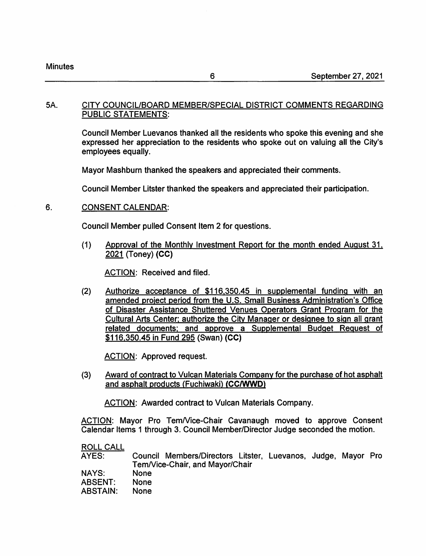#### 5A. CITY COUNCIL/BOARD MEMBER/SPECIAL DISTRICT COMMENTS REGARDING PUBLIC STATEMENTS:

Council Member Luevanos thanked all the residents who spoke this evening and she expressed her appreciation to the residents who spoke out on valuing all the City's employees equally.

Mayor Mashburn thanked the speakers and appreciated their comments.

Council Member Litster thanked the speakers and appreciated their participation.

#### 6. CONSENT CALENDAR:

Council Member pulled Consent Item 2 for questions.

(1) Approval of the Monthly Investment Report for the month ended August 31, 2021 (Toney) **(CC)** 

ACTION: Received and filed.

(2) Authorize acceptance of \$116,350.45 in supplemental funding with an amended project period from the U.S. Small Business Administration's Office of Disaster Assistance Shuttered Venues Operators Grant Program for the Cultural Arts Center; authorize the City Manager or designee to sign all grant related documents: and approve a Supplemental Budget Request of \$116,350.45 in Fund 295 (Swan) **(CC)** 

ACTION: Approved request.

(3) Award of contract to Vulcan Materials Company for the purchase of hot asphalt and asphalt products (Fuchiwaki) **(CC/WWD)** 

ACTION: Awarded contract to Vulcan Materials Company.

ACTION: Mayor Pro Tem/Vice-Chair Cavanaugh moved to approve Consent Calendar Items 1 through 3. Council Member/Director Judge seconded the motion.

| Tem/Vice-Chair, and Mayor/Chair |  |                                                               |
|---------------------------------|--|---------------------------------------------------------------|
| <b>None</b>                     |  |                                                               |
| <b>None</b>                     |  |                                                               |
| <b>None</b>                     |  |                                                               |
|                                 |  | Council Members/Directors Litster, Luevanos, Judge, Mayor Pro |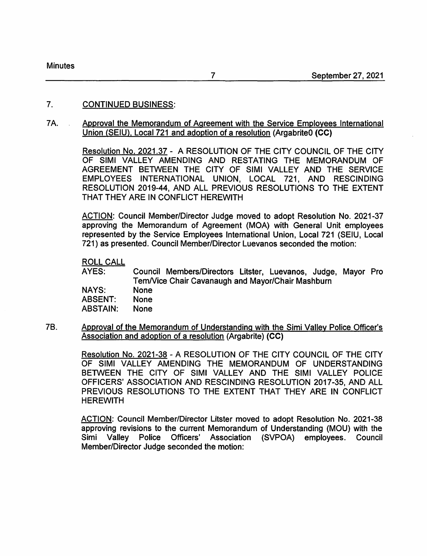#### 7. CONTINUED BUSINESS:

#### 7A. Approval the Memorandum of Agreement with the Service Employees International Union (SEIU), Local 721 and adoption of a resolution (ArgabriteO **(CC)**

Resolution No. 2021.37 - A RESOLUTION OF THE CITY COUNCIL OF THE CITY OF SIMI VALLEY AMENDING AND RESTATING THE MEMORANDUM OF AGREEMENT BETWEEN THE CITY OF SIMI VALLEY AND THE SERVICE EMPLOYEES INTERNATIONAL UNION, LOCAL 721, AND RESCINDING RESOLUTION 2019-44, AND ALL PREVIOUS RESOLUTIONS TO THE EXTENT THAT THEY ARE IN CONFLICT HEREWITH

ACTION: Council Member/Director Judge moved to adopt Resolution No. 2021-37 approving the Memorandum of Agreement (MOA) with General Unit employees represented by the Service Employees International Union, Local 721 (SEIU, Local 721) as presented. Council Member/Director Luevanos seconded the motion:

ROLL CALL

AYES: NAYS: ABSENT: ABSTAIN: Council Members/Directors Litster, Luevanos, Judge, Mayor Pro TemNice Chair Cavanaugh and Mayor/Chair Mashburn None None None

78. Approval of the Memorandum of Understanding with the Simi Valley Police Officer's Association and adoption of a resolution (Argabrite) **(CC)** 

> Resolution No. 2021-38 - A RESOLUTION OF THE CITY COUNCIL OF THE CITY OF SIMI VALLEY AMENDING THE MEMORANDUM OF UNDERSTANDING BETWEEN THE CITY OF SIMI VALLEY AND THE SIMI VALLEY POLICE OFFICERS' ASSOCIATION AND RESCINDING RESOLUTION 2017-35, AND ALL PREVIOUS RESOLUTIONS TO THE EXTENT THAT THEY ARE IN CONFLICT **HEREWITH**

> ACTION: Council Member/Director Litster moved to adopt Resolution No. 2021-38 approving revisions to the current Memorandum of Understanding (MOU) with the Simi Valley Police Officers' Association (SVPOA) employees. Council Member/Director Judge seconded the motion: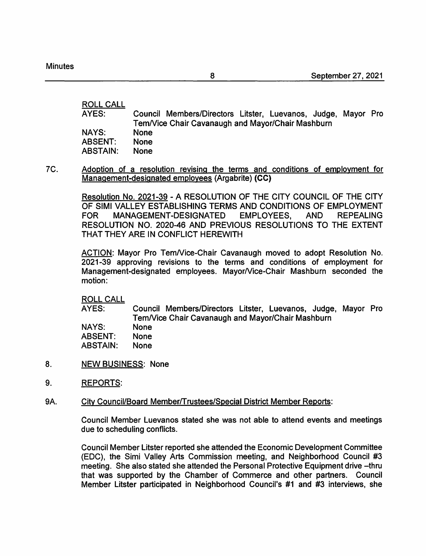ROLL CALL

| AYES:        | Council Members/Directors Litster, Luevanos, Judge, Mayor Pro<br>Tem/Vice Chair Cavanaugh and Mayor/Chair Mashburn |  |
|--------------|--------------------------------------------------------------------------------------------------------------------|--|
| <b>NAYS:</b> | <b>None</b>                                                                                                        |  |
| ABSENT:      | <b>None</b>                                                                                                        |  |
| ABSTAIN:     | <b>None</b>                                                                                                        |  |

7C. Adoption of a resolution revising the terms and conditions of employment for Management-designated employees (Argabrite) **(CC)** 

> Resolution No. 2021-39 - A RESOLUTION OF THE CITY COUNCIL OF THE CITY OF SIMI VALLEY ESTABLISHING TERMS AND CONDITIONS OF EMPLOYMENT FOR MANAGEMENT-DESIGNATED EMPLOYEES, AND REPEALING RESOLUTION NO. 2020-46 AND PREVIOUS RESOLUTIONS TO THE EXTENT THAT THEY ARE IN CONFLICT HEREWITH

> ACTION: Mayor Pro TemNice-Chair Cavanaugh moved to adopt Resolution No. 2021-39 approving revisions to the terms and conditions of employment for Management-designated employees. Mayor/Vice-Chair Mashburn seconded the motion:

ROLL CALL

AYES: NAYS: ABSENT: ABSTAIN: Council Members/Directors Litster, Luevanos, Judge, Mayor Pro TemNice Chair Cavanaugh and Mayor/Chair Mashburn None None None

- 8. NEW BUSINESS: None
- 9. REPORTS:
- 9A. City Council/Board Member/Trustees/Special District Member Reports:

Council Member Luevanos stated she was not able to attend events and meetings due to scheduling conflicts.

Council Member Litster reported she attended the Economic Development Committee (EDC), the Simi Valley Arts Commission meeting, and Neighborhood Council #3 meeting. She also stated she attended the Personal Protective Equipment drive -thru that was supported by the Chamber of Commerce and other partners. Council Member Litster participated in Neighborhood Council's #1 and #3 interviews, she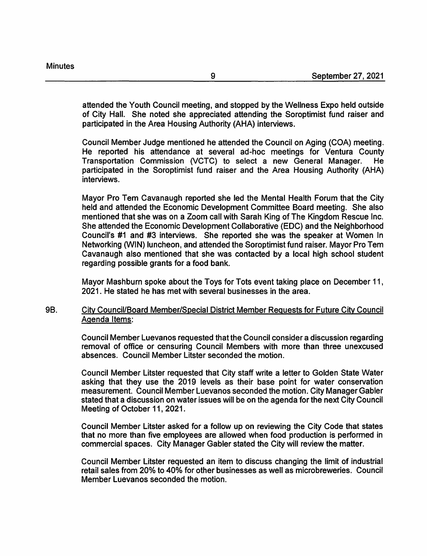attended the Youth Council meeting, and stopped by the Wellness Expo held outside of City Hall. She noted she appreciated attending the Soroptimist fund raiser and participated in the Area Housing Authority (AHA) interviews.

Council Member Judge mentioned he attended the Council on Aging (COA) meeting. He reported his attendance at several ad-hoc meetings for Ventura County Transportation Commission (VCTC) to select a new General Manager. He participated in the Soroptimist fund raiser and the Area Housing Authority (AHA) interviews.

Mayor Pro Tern Cavanaugh reported she led the Mental Health Forum that the City held and attended the Economic Development Committee Board meeting. She also mentioned that she was on a Zoom call with Sarah King of The Kingdom Rescue Inc. She attended the Economic Development Collaborative (EDC) and the Neighborhood Council's #1 and #3 interviews. She reported she was the speaker at Women In Networking (WIN) luncheon, and attended the Soroptimist fund raiser. Mayor Pro Tern Cavanaugh also mentioned that she was contacted by a local high school student regarding possible grants for a food bank.

Mayor Mashburn spoke about the Toys for Tots event taking place on December 11, 2021. He stated he has met with several businesses in the area.

# 9B. City Council/Board Member/Special District Member Requests for Future City Council Agenda Items:

Council Member Luevanos requested that the Council consider a discussion regarding removal of office or censuring Council Members with more than three unexcused absences. Council Member Litster seconded the motion.

Council Member Litster requested that City staff write a letter to Golden State Water asking that they use the 2019 levels as their base point for water conservation measurement. Council Member Luevanos seconded the motion. City Manager Gabler stated that a discussion on water issues will be on the agenda for the next City Council Meeting of October 11, 2021.

Council Member Litster asked for a follow up on reviewing the City Code that states that no more than five employees are allowed when food production is performed in commercial spaces. City Manager Gabler stated the City will review the matter.

Council Member Litster requested an item to discuss changing the limit of industrial retail sales from 20% to 40% for other businesses as well as microbreweries. Council Member Luevanos seconded the motion.